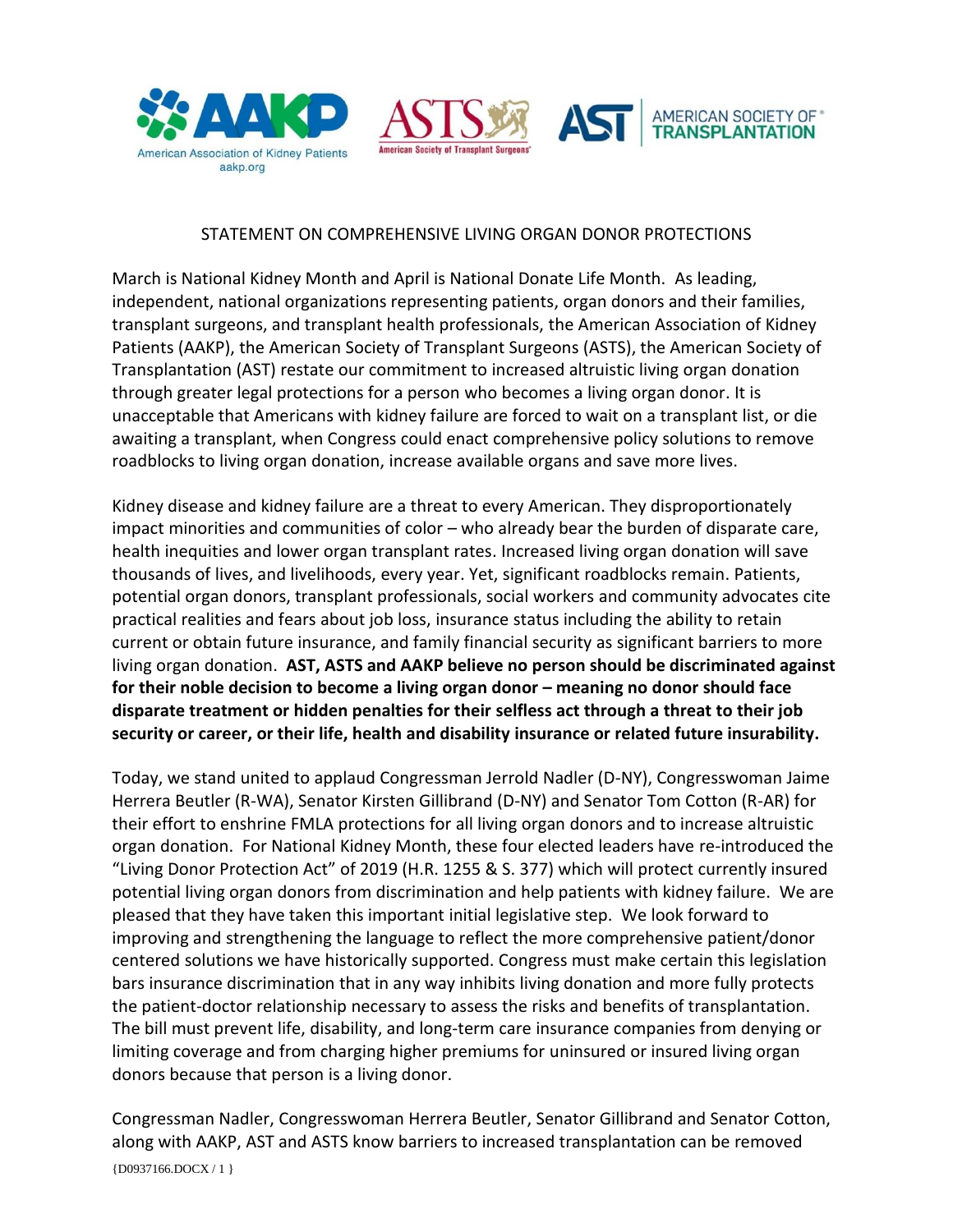



## STATEMENT ON COMPREHENSIVE LIVING ORGAN DONOR PROTECTIONS

TRANSPL

March is National Kidney Month and April is National Donate Life Month. As leading, independent, national organizations representing patients, organ donors and their families, transplant surgeons, and transplant health professionals, the American Association of Kidney Patients (AAKP), the American Society of Transplant Surgeons (ASTS), the American Society of Transplantation (AST) restate our commitment to increased altruistic living organ donation through greater legal protections for a person who becomes a living organ donor. It is unacceptable that Americans with kidney failure are forced to wait on a transplant list, or die awaiting a transplant, when Congress could enact comprehensive policy solutions to remove roadblocks to living organ donation, increase available organs and save more lives.

Kidney disease and kidney failure are a threat to every American. They disproportionately impact minorities and communities of color – who already bear the burden of disparate care, health inequities and lower organ transplant rates. Increased living organ donation will save thousands of lives, and livelihoods, every year. Yet, significant roadblocks remain. Patients, potential organ donors, transplant professionals, social workers and community advocates cite practical realities and fears about job loss, insurance status including the ability to retain current or obtain future insurance, and family financial security as significant barriers to more living organ donation. **AST, ASTS and AAKP believe no person should be discriminated against for their noble decision to become a living organ donor – meaning no donor should face disparate treatment or hidden penalties for their selfless act through a threat to their job security or career, or their life, health and disability insurance or related future insurability.**

Today, we stand united to applaud Congressman Jerrold Nadler (D-NY), Congresswoman Jaime Herrera Beutler (R-WA), Senator Kirsten Gillibrand (D-NY) and Senator Tom Cotton (R-AR) for their effort to enshrine FMLA protections for all living organ donors and to increase altruistic organ donation. For National Kidney Month, these four elected leaders have re-introduced the "Living Donor Protection Act" of 2019 (H.R. 1255 & S. 377) which will protect currently insured potential living organ donors from discrimination and help patients with kidney failure. We are pleased that they have taken this important initial legislative step. We look forward to improving and strengthening the language to reflect the more comprehensive patient/donor centered solutions we have historically supported. Congress must make certain this legislation bars insurance discrimination that in any way inhibits living donation and more fully protects the patient-doctor relationship necessary to assess the risks and benefits of transplantation. The bill must prevent life, disability, and long-term care insurance companies from denying or limiting coverage and from charging higher premiums for uninsured or insured living organ donors because that person is a living donor.

{D0937166.DOCX / 1 } Congressman Nadler, Congresswoman Herrera Beutler, Senator Gillibrand and Senator Cotton, along with AAKP, AST and ASTS know barriers to increased transplantation can be removed